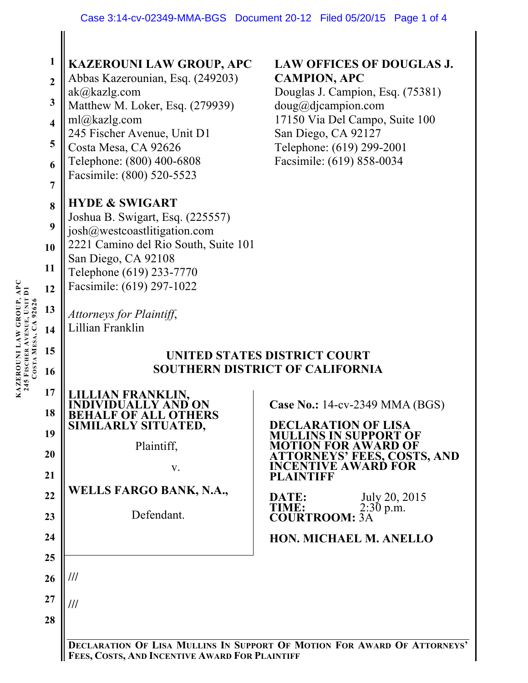|                      | $\mathbf{1}$<br>$\overline{2}$<br>$\mathbf{3}$<br>$\overline{\mathbf{4}}$<br>5<br>6<br>$\overline{7}$<br>8<br>9<br>10<br>11 | <b>KAZEROUNI LAW GROUP, APC</b><br>Abbas Kazerounian, Esq. (249203)<br>ak@kazlg.com<br>Matthew M. Loker, Esq. (279939)<br>ml@kazlg.com<br>245 Fischer Avenue, Unit D1<br>Costa Mesa, CA 92626<br>Telephone: (800) 400-6808<br>Facsimile: (800) 520-5523<br><b>HYDE &amp; SWIGART</b><br>Joshua B. Swigart, Esq. (225557)<br>josh@westcoastlitigation.com<br>2221 Camino del Rio South, Suite 101<br>San Diego, CA 92108<br>Telephone (619) 233-7770 | <b>LAW OFFICES OF DOUGLAS J.</b><br><b>CAMPION, APC</b><br>Douglas J. Campion, Esq. (75381)<br>doug@djaampion.com<br>17150 Via Del Campo, Suite 100<br>San Diego, CA 92127<br>Telephone: (619) 299-2001<br>Facsimile: (619) 858-0034                                                                            |  |
|----------------------|-----------------------------------------------------------------------------------------------------------------------------|-----------------------------------------------------------------------------------------------------------------------------------------------------------------------------------------------------------------------------------------------------------------------------------------------------------------------------------------------------------------------------------------------------------------------------------------------------|-----------------------------------------------------------------------------------------------------------------------------------------------------------------------------------------------------------------------------------------------------------------------------------------------------------------|--|
|                      | 12<br>13<br>14                                                                                                              | Facsimile: (619) 297-1022<br>Attorneys for Plaintiff,<br>Lillian Franklin                                                                                                                                                                                                                                                                                                                                                                           |                                                                                                                                                                                                                                                                                                                 |  |
| COSTA MESA, CA 92626 | 15<br>16                                                                                                                    | UNITED STATES DISTRICT COURT<br><b>SOUTHERN DISTRICT OF CALIFORNIA</b>                                                                                                                                                                                                                                                                                                                                                                              |                                                                                                                                                                                                                                                                                                                 |  |
|                      | 17<br>18<br>19<br>20<br>21<br>22<br>23<br>24                                                                                | AN FRANKLIN.<br><b>BEHALF OF ALL OTHERS<br/>SIMILARLY SITUATED,</b><br>Plaintiff,<br>V.<br>WELLS FARGO BANK, N.A.,<br>Defendant.                                                                                                                                                                                                                                                                                                                    | Case No.: 14-cv-2349 MMA (BGS)<br><b>DECLARATION OF LISA</b><br>MULLINS IN SUPPORT OF<br>MOTION FOR AWARD OF<br><b>ATTORNEYS' FEES, COSTS, AND</b><br><b>INCENTIVE AWARD FOR</b><br><b>PLAINTIFF</b><br>July 20, 2015<br>DATE:<br>TIME:<br>$2:30$ p.m.<br><b>COURTROOM: 3A</b><br><b>HON. MICHAEL M. ANELLO</b> |  |
|                      | 25<br>26<br>27                                                                                                              | ///<br>///                                                                                                                                                                                                                                                                                                                                                                                                                                          |                                                                                                                                                                                                                                                                                                                 |  |
|                      | 28                                                                                                                          |                                                                                                                                                                                                                                                                                                                                                                                                                                                     | DECLARATION OF LISA MULLINS IN SUPPORT OF MOTION FOR AWARD OF ATTORNEYS'                                                                                                                                                                                                                                        |  |

**FEES, COSTS, AND INCENTIVE AWARD FOR PLAINTIFF**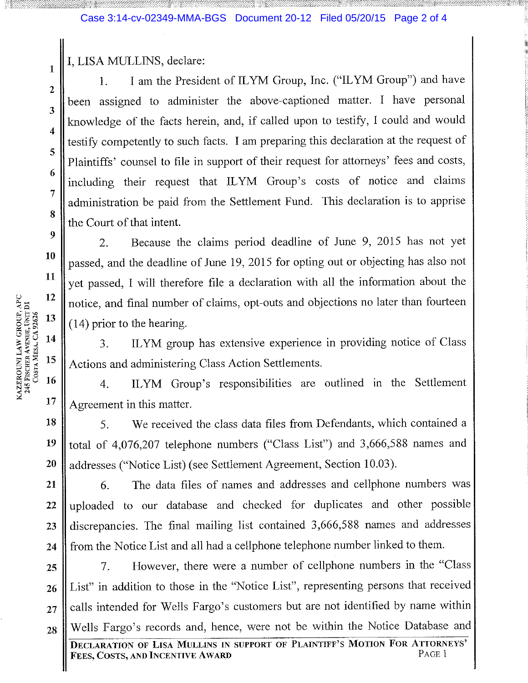I, LISA MULLINS, declare:

I am the President of ILYM Group, Inc. ("ILYM Group") and have 1. been assigned to administer the above-captioned matter. I have personal knowledge of the facts herein, and, if called upon to testify, I could and would testify competently to such facts. I am preparing this declaration at the request of Plaintiffs' counsel to file in support of their request for attorneys' fees and costs, including their request that ILYM Group's costs of notice and claims administration be paid from the Settlement Fund. This declaration is to apprise the Court of that intent.

Because the claims period deadline of June 9, 2015 has not yet 2. passed, and the deadline of June 19, 2015 for opting out or objecting has also not yet passed, I will therefore file a declaration with all the information about the notice, and final number of claims, opt-outs and objections no later than fourteen  $(14)$  prior to the hearing.

ILYM group has extensive experience in providing notice of Class 3. Actions and administering Class Action Settlements.

ILYM Group's responsibilities are outlined in the Settlement  $\overline{4}$ . Agreement in this matter.

18 We received the class data files from Defendants, which contained a 5. total of 4,076,207 telephone numbers ("Class List") and 3,666,588 names and 19 addresses ("Notice List) (see Settlement Agreement, Section 10.03). 20

The data files of names and addresses and cellphone numbers was 21 6. uploaded to our database and checked for duplicates and other possible 22 discrepancies. The final mailing list contained 3,666,588 names and addresses 23 from the Notice List and all had a cellphone telephone number linked to them. 24

However, there were a number of cellphone numbers in the "Class" 7. 25 List" in addition to those in the "Notice List", representing persons that received 26 calls intended for Wells Fargo's customers but are not identified by name within 27 Wells Fargo's records and, hence, were not be within the Notice Database and 28

 $\mathbf{1}$ 

 $\mathbf{2}$ 

3

 $\overline{4}$ 

5

6

 $\overline{7}$ 

8

 $\boldsymbol{9}$ 

10

11

12

13

14

15

16

17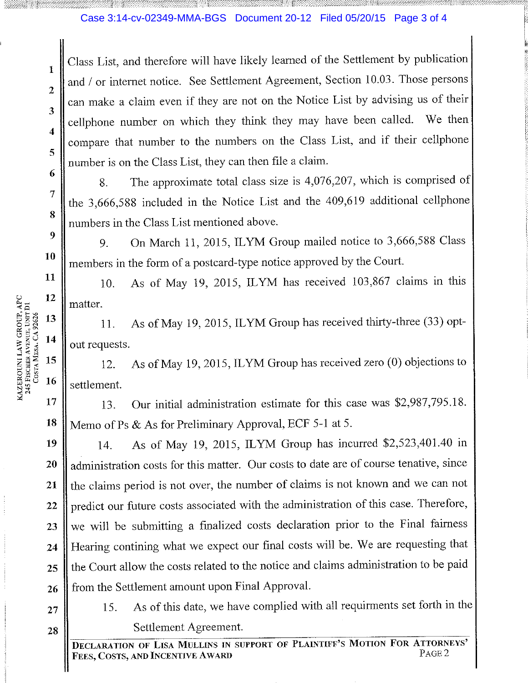## Case 3:14-cv-02349-MMA-BGS Document 20-12 Filed 05/20/15 Page 3 of 4

Class List, and therefore will have likely learned of the Settlement by publication and / or internet notice. See Settlement Agreement, Section 10.03. Those persons can make a claim even if they are not on the Notice List by advising us of their cellphone number on which they think they may have been called. We then compare that number to the numbers on the Class List, and if their cellphone number is on the Class List, they can then file a claim.

The approximate total class size is 4,076,207, which is comprised of 8. the 3,666,588 included in the Notice List and the 409,619 additional cellphone numbers in the Class List mentioned above.

On March 11, 2015, ILYM Group mailed notice to 3,666,588 Class 9. members in the form of a postcard-type notice approved by the Court.

As of May 19, 2015, ILYM has received 103,867 claims in this 10. matter.

As of May 19, 2015, ILYM Group has received thirty-three (33) opt-11. out requests.

As of May 19, 2015, ILYM Group has received zero (0) objections to  $12.$ settlement.

Our initial administration estimate for this case was \$2,987,795.18. 13. Memo of Ps & As for Preliminary Approval, ECF 5-1 at 5.

As of May 19, 2015, ILYM Group has incurred \$2,523,401.40 in 19 14. administration costs for this matter. Our costs to date are of course tenative, since 20 the claims period is not over, the number of claims is not known and we can not 21 predict our future costs associated with the administration of this case. Therefore, 22 we will be submitting a finalized costs declaration prior to the Final fairness 23 Hearing contining what we expect our final costs will be. We are requesting that 24 the Court allow the costs related to the notice and claims administration to be paid 25 from the Settlement amount upon Final Approval. 26

27

28

As of this date, we have complied with all requirments set forth in the 15. Settlement Agreement.

**DECLARATION OF LISA MULLINS IN SUPPORT OF PLAINTIFF'S MOTION FOR ATTORNEYS'** PAGE<sub>2</sub> Fees, Costs, and Incentive Award

 $\mathbf{1}$ 

 $\overline{2}$ 

 $\overline{\mathbf{3}}$ 

4

5

6

7

8

9

10

11

13

14

15

16

17

18